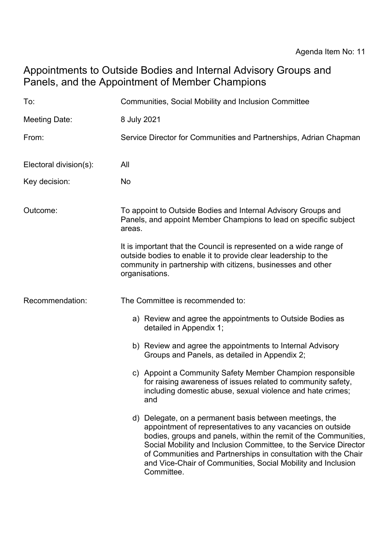## Appointments to Outside Bodies and Internal Advisory Groups and Panels, and the Appointment of Member Champions

| To:                    | Communities, Social Mobility and Inclusion Committee                                                                                                                                                                                                                                                                                                                                                         |
|------------------------|--------------------------------------------------------------------------------------------------------------------------------------------------------------------------------------------------------------------------------------------------------------------------------------------------------------------------------------------------------------------------------------------------------------|
| <b>Meeting Date:</b>   | 8 July 2021                                                                                                                                                                                                                                                                                                                                                                                                  |
| From:                  | Service Director for Communities and Partnerships, Adrian Chapman                                                                                                                                                                                                                                                                                                                                            |
| Electoral division(s): | All                                                                                                                                                                                                                                                                                                                                                                                                          |
| Key decision:          | No                                                                                                                                                                                                                                                                                                                                                                                                           |
| Outcome:               | To appoint to Outside Bodies and Internal Advisory Groups and<br>Panels, and appoint Member Champions to lead on specific subject<br>areas.                                                                                                                                                                                                                                                                  |
|                        | It is important that the Council is represented on a wide range of<br>outside bodies to enable it to provide clear leadership to the<br>community in partnership with citizens, businesses and other<br>organisations.                                                                                                                                                                                       |
| Recommendation:        | The Committee is recommended to:                                                                                                                                                                                                                                                                                                                                                                             |
|                        | a) Review and agree the appointments to Outside Bodies as<br>detailed in Appendix 1;                                                                                                                                                                                                                                                                                                                         |
|                        | b) Review and agree the appointments to Internal Advisory<br>Groups and Panels, as detailed in Appendix 2;                                                                                                                                                                                                                                                                                                   |
|                        | c) Appoint a Community Safety Member Champion responsible<br>for raising awareness of issues related to community safety,<br>including domestic abuse, sexual violence and hate crimes;<br>and                                                                                                                                                                                                               |
|                        | d) Delegate, on a permanent basis between meetings, the<br>appointment of representatives to any vacancies on outside<br>bodies, groups and panels, within the remit of the Communities,<br>Social Mobility and Inclusion Committee, to the Service Director<br>of Communities and Partnerships in consultation with the Chair<br>and Vice-Chair of Communities, Social Mobility and Inclusion<br>Committee. |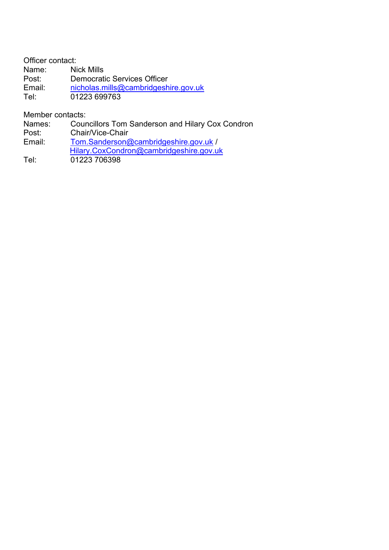Officer contact: Name: Nick Mills<br>Post: Democrat Democratic Services Officer Email: [nicholas.mills@cambridgeshire.gov.uk](mailto:nicholas.mills@cambridgeshire.gov.uk) Tel: 01223 699763

Member contacts:

Names: Councillors Tom Sanderson and Hilary Cox Condron

Post: Chair/Vice-Chair

Email: [Tom.Sanderson@cambridgeshire.gov.uk](mailto:Tom.Sanderson@cambridgeshire.gov.uk) / [Hilary.CoxCondron@cambridgeshire.gov.uk](mailto:Hilary.CoxCondron@cambridgeshire.gov.uk)

Tel: 01223 706398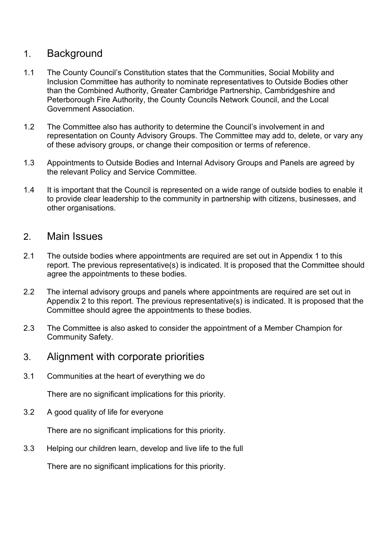## 1. Background

- 1.1 The County Council's Constitution states that the Communities, Social Mobility and Inclusion Committee has authority to nominate representatives to Outside Bodies other than the Combined Authority, Greater Cambridge Partnership, Cambridgeshire and Peterborough Fire Authority, the County Councils Network Council, and the Local Government Association.
- 1.2 The Committee also has authority to determine the Council's involvement in and representation on County Advisory Groups. The Committee may add to, delete, or vary any of these advisory groups, or change their composition or terms of reference.
- 1.3 Appointments to Outside Bodies and Internal Advisory Groups and Panels are agreed by the relevant Policy and Service Committee.
- 1.4 It is important that the Council is represented on a wide range of outside bodies to enable it to provide clear leadership to the community in partnership with citizens, businesses, and other organisations.

## 2. Main Issues

- 2.1 The outside bodies where appointments are required are set out in Appendix 1 to this report. The previous representative(s) is indicated. It is proposed that the Committee should agree the appointments to these bodies.
- 2.2 The internal advisory groups and panels where appointments are required are set out in Appendix 2 to this report. The previous representative(s) is indicated. It is proposed that the Committee should agree the appointments to these bodies.
- 2.3 The Committee is also asked to consider the appointment of a Member Champion for Community Safety.
- 3. Alignment with corporate priorities
- 3.1 Communities at the heart of everything we do

There are no significant implications for this priority.

3.2 A good quality of life for everyone

There are no significant implications for this priority.

3.3 Helping our children learn, develop and live life to the full

There are no significant implications for this priority.